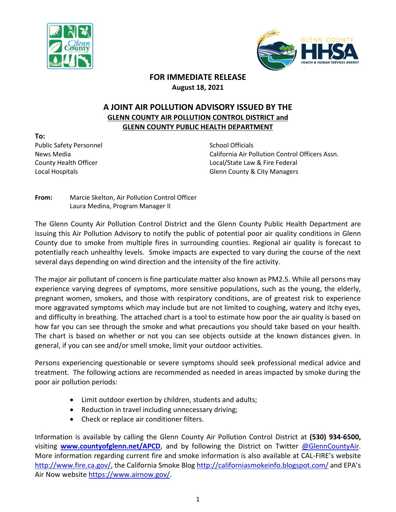



## **FOR IMMEDIATE RELEASE August 18, 2021**

## **A JOINT AIR POLLUTION ADVISORY ISSUED BY THE GLENN COUNTY AIR POLLUTION CONTROL DISTRICT and GLENN COUNTY PUBLIC HEALTH DEPARTMENT**

**To:** Public Safety Personnel School Officials

News Media California Air Pollution Control Officers Assn. County Health Officer **Local** County Health Officer Law & Fire Federal Local Hospitals **Glenn County & City Managers** Glenn County & City Managers

**From:** Marcie Skelton, Air Pollution Control Officer Laura Medina, Program Manager II

The Glenn County Air Pollution Control District and the Glenn County Public Health Department are issuing this Air Pollution Advisory to notify the public of potential poor air quality conditions in Glenn County due to smoke from multiple fires in surrounding counties. Regional air quality is forecast to potentially reach unhealthy levels. Smoke impacts are expected to vary during the course of the next several days depending on wind direction and the intensity of the fire activity.

The major air pollutant of concern is fine particulate matter also known as PM2.5. While all persons may experience varying degrees of symptoms, more sensitive populations, such as the young, the elderly, pregnant women, smokers, and those with respiratory conditions, are of greatest risk to experience more aggravated symptoms which may include but are not limited to coughing, watery and itchy eyes, and difficulty in breathing. The attached chart is a tool to estimate how poor the air quality is based on how far you can see through the smoke and what precautions you should take based on your health. The chart is based on whether or not you can see objects outside at the known distances given. In general, if you can see and/or smell smoke, limit your outdoor activities.

Persons experiencing questionable or severe symptoms should seek professional medical advice and treatment. The following actions are recommended as needed in areas impacted by smoke during the poor air pollution periods:

- Limit outdoor exertion by children, students and adults;
- Reduction in travel including unnecessary driving;
- Check or replace air conditioner filters.

Information is available by calling the Glenn County Air Pollution Control District at **(530) 934-6500,** visiting **[www.countyofglenn.net/APCD](http://www.countyofglenn.net/APCD)**, and by following the District on Twitter [@GlennCountyAir.](https://twitter.com/GlennCountyAir?lang=en) More information regarding current fire and smoke information is also available at CAL-FIRE's website [http://www.fire.ca.gov/,](http://www.fire.ca.gov/) the California Smoke Blog<http://californiasmokeinfo.blogspot.com/> and EPA's Air Now website [https://www.airnow.gov/.](https://www.airnow.gov/)